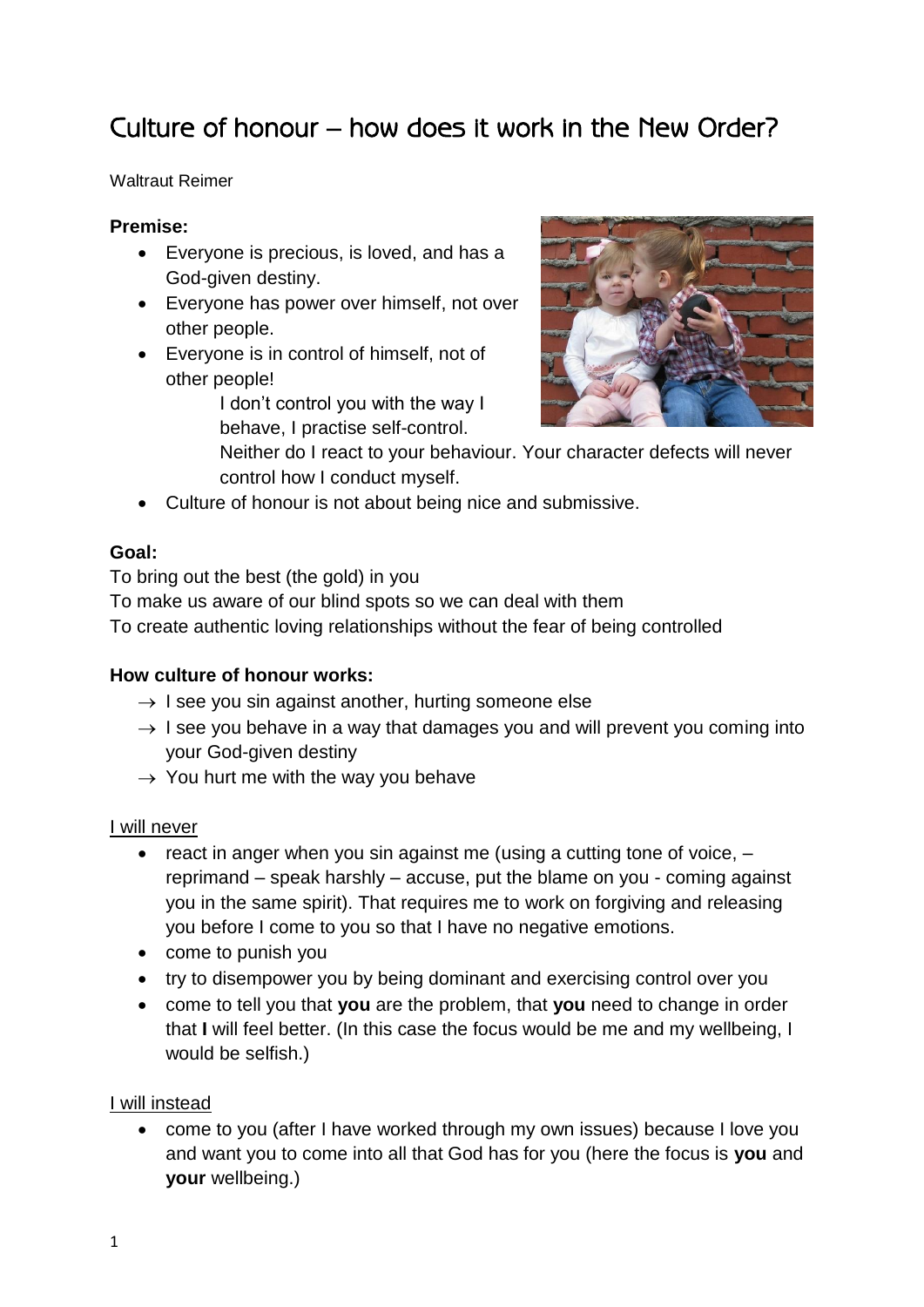# Culture of honour – how does it work in the New Order?

Waltraut Reimer

## **Premise:**

- Everyone is precious, is loved, and has a God-given destiny.
- Everyone has power over himself, not over other people.
- Everyone is in control of himself, not of other people!

I don't control you with the way I behave, I practise self-control.



- Neither do I react to your behaviour. Your character defects will never control how I conduct myself.
- Culture of honour is not about being nice and submissive.

# **Goal:**

To bring out the best (the gold) in you

To make us aware of our blind spots so we can deal with them

To create authentic loving relationships without the fear of being controlled

#### **How culture of honour works:**

- $\rightarrow$  I see you sin against another, hurting someone else
- $\rightarrow$  I see you behave in a way that damages you and will prevent you coming into your God-given destiny
- $\rightarrow$  You hurt me with the way you behave

#### I will never

- react in anger when you sin against me (using a cutting tone of voice,  $$ reprimand – speak harshly – accuse, put the blame on you - coming against you in the same spirit). That requires me to work on forgiving and releasing you before I come to you so that I have no negative emotions.
- come to punish you
- try to disempower you by being dominant and exercising control over you
- come to tell you that **you** are the problem, that **you** need to change in order that **I** will feel better. (In this case the focus would be me and my wellbeing, I would be selfish.)

#### I will instead

 come to you (after I have worked through my own issues) because I love you and want you to come into all that God has for you (here the focus is **you** and **your** wellbeing.)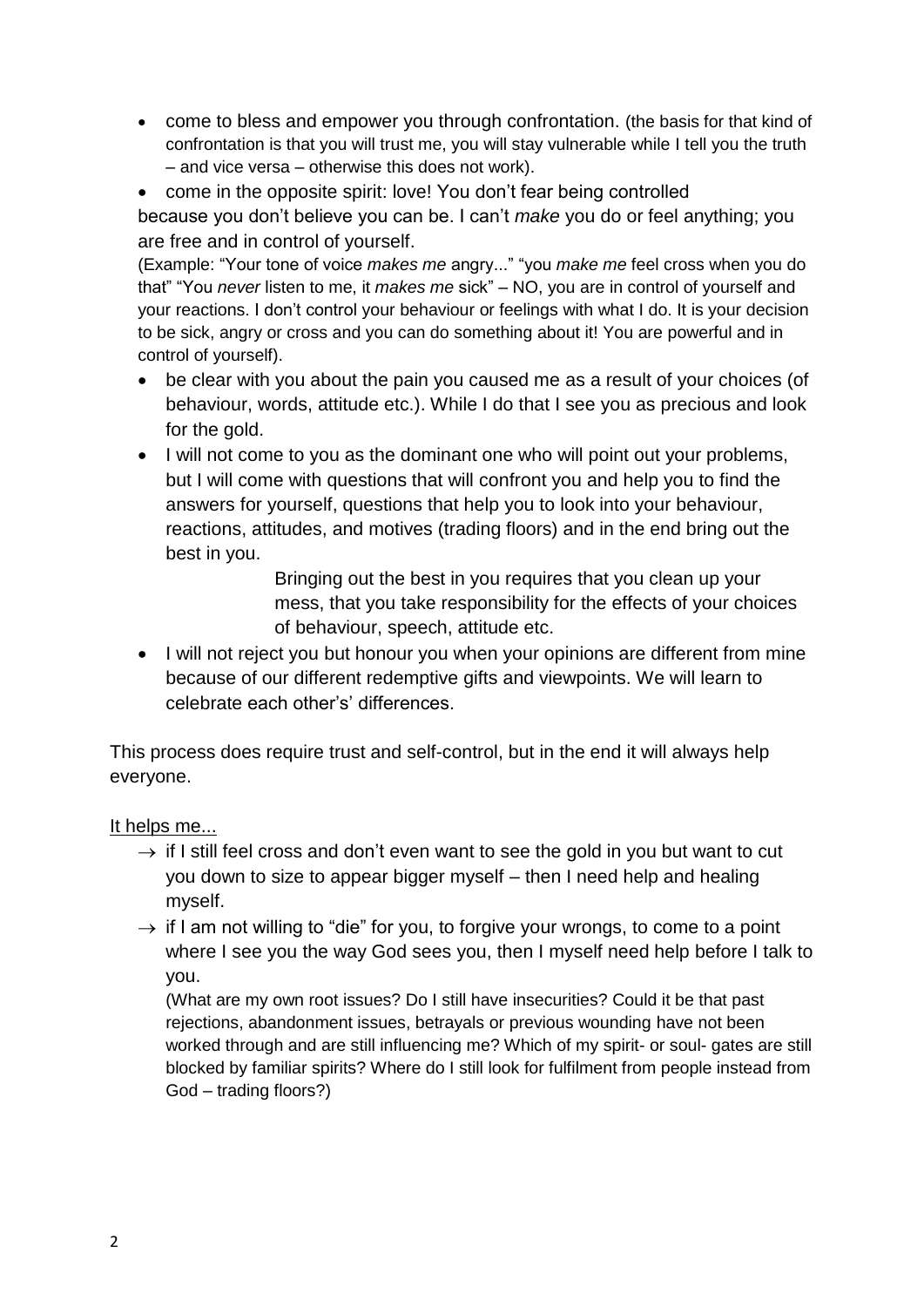come to bless and empower you through confrontation. (the basis for that kind of confrontation is that you will trust me, you will stay vulnerable while I tell you the truth – and vice versa – otherwise this does not work).

• come in the opposite spirit: love! You don't fear being controlled because you don't believe you can be. I can't *make* you do or feel anything; you are free and in control of yourself.

(Example: "Your tone of voice *makes me* angry..." "you *make me* feel cross when you do that" "You *never* listen to me, it *makes me* sick" – NO, you are in control of yourself and your reactions. I don't control your behaviour or feelings with what I do. It is your decision to be sick, angry or cross and you can do something about it! You are powerful and in control of yourself).

- be clear with you about the pain you caused me as a result of your choices (of behaviour, words, attitude etc.). While I do that I see you as precious and look for the gold.
- I will not come to you as the dominant one who will point out your problems, but I will come with questions that will confront you and help you to find the answers for yourself, questions that help you to look into your behaviour, reactions, attitudes, and motives (trading floors) and in the end bring out the best in you.

Bringing out the best in you requires that you clean up your mess, that you take responsibility for the effects of your choices of behaviour, speech, attitude etc.

• I will not reject you but honour you when your opinions are different from mine because of our different redemptive gifts and viewpoints. We will learn to celebrate each other's' differences.

This process does require trust and self-control, but in the end it will always help everyone.

#### It helps me...

- $\rightarrow$  if I still feel cross and don't even want to see the gold in you but want to cut you down to size to appear bigger myself – then I need help and healing myself.
- $\rightarrow$  if I am not willing to "die" for you, to forgive your wrongs, to come to a point where I see you the way God sees you, then I myself need help before I talk to you.

(What are my own root issues? Do I still have insecurities? Could it be that past rejections, abandonment issues, betrayals or previous wounding have not been worked through and are still influencing me? Which of my spirit- or soul- gates are still blocked by familiar spirits? Where do I still look for fulfilment from people instead from God – trading floors?)